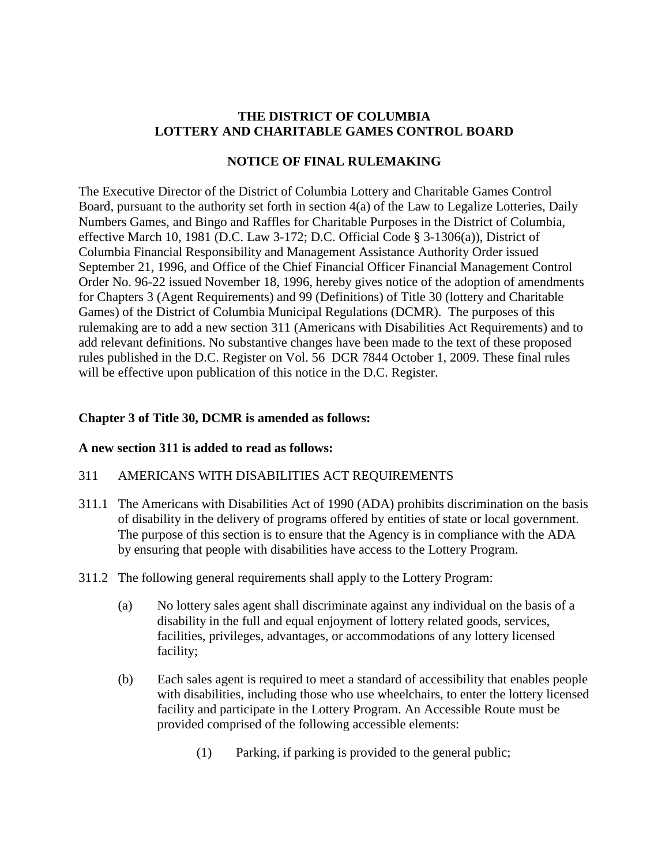## **THE DISTRICT OF COLUMBIA LOTTERY AND CHARITABLE GAMES CONTROL BOARD**

## **NOTICE OF FINAL RULEMAKING**

The Executive Director of the District of Columbia Lottery and Charitable Games Control Board, pursuant to the authority set forth in section 4(a) of the Law to Legalize Lotteries, Daily Numbers Games, and Bingo and Raffles for Charitable Purposes in the District of Columbia, effective March 10, 1981 (D.C. Law 3-172; D.C. Official Code § 3-1306(a)), District of Columbia Financial Responsibility and Management Assistance Authority Order issued September 21, 1996, and Office of the Chief Financial Officer Financial Management Control Order No. 96-22 issued November 18, 1996, hereby gives notice of the adoption of amendments for Chapters 3 (Agent Requirements) and 99 (Definitions) of Title 30 (lottery and Charitable Games) of the District of Columbia Municipal Regulations (DCMR). The purposes of this rulemaking are to add a new section 311 (Americans with Disabilities Act Requirements) and to add relevant definitions. No substantive changes have been made to the text of these proposed rules published in the D.C. Register on Vol. 56 DCR 7844 October 1, 2009. These final rules will be effective upon publication of this notice in the D.C. Register.

## **Chapter 3 of Title 30, DCMR is amended as follows:**

#### **A new section 311 is added to read as follows:**

#### 311 AMERICANS WITH DISABILITIES ACT REQUIREMENTS

- 311.1 The Americans with Disabilities Act of 1990 (ADA) prohibits discrimination on the basis of disability in the delivery of programs offered by entities of state or local government. The purpose of this section is to ensure that the Agency is in compliance with the ADA by ensuring that people with disabilities have access to the Lottery Program.
- 311.2 The following general requirements shall apply to the Lottery Program:
	- (a) No lottery sales agent shall discriminate against any individual on the basis of a disability in the full and equal enjoyment of lottery related goods, services, facilities, privileges, advantages, or accommodations of any lottery licensed facility;
	- (b) Each sales agent is required to meet a standard of accessibility that enables people with disabilities, including those who use wheelchairs, to enter the lottery licensed facility and participate in the Lottery Program. An Accessible Route must be provided comprised of the following accessible elements:
		- (1) Parking, if parking is provided to the general public;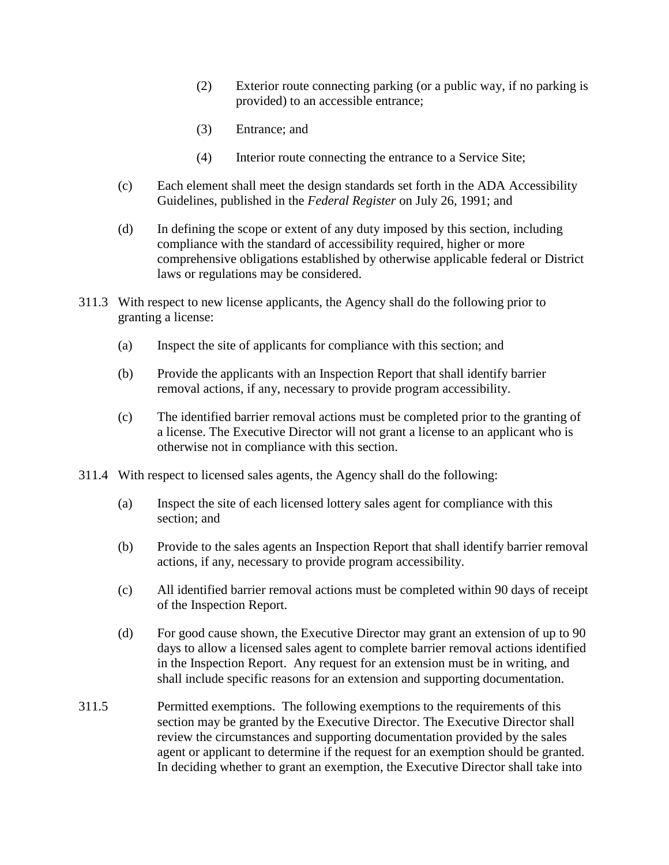- (2) Exterior route connecting parking (or a public way, if no parking is provided) to an accessible entrance;
- (3) Entrance; and
- (4) Interior route connecting the entrance to a Service Site;
- (c) Each element shall meet the design standards set forth in the ADA Accessibility Guidelines, published in the *Federal Register* on July 26, 1991; and
- (d) In defining the scope or extent of any duty imposed by this section, including compliance with the standard of accessibility required, higher or more comprehensive obligations established by otherwise applicable federal or District laws or regulations may be considered.
- 311.3 With respect to new license applicants, the Agency shall do the following prior to granting a license:
	- (a) Inspect the site of applicants for compliance with this section; and
	- (b) Provide the applicants with an Inspection Report that shall identify barrier removal actions, if any, necessary to provide program accessibility.
	- (c) The identified barrier removal actions must be completed prior to the granting of a license. The Executive Director will not grant a license to an applicant who is otherwise not in compliance with this section.
- 311.4 With respect to licensed sales agents, the Agency shall do the following:
	- (a) Inspect the site of each licensed lottery sales agent for compliance with this section; and
	- (b) Provide to the sales agents an Inspection Report that shall identify barrier removal actions, if any, necessary to provide program accessibility.
	- (c) All identified barrier removal actions must be completed within 90 days of receipt of the Inspection Report.
	- (d) For good cause shown, the Executive Director may grant an extension of up to 90 days to allow a licensed sales agent to complete barrier removal actions identified in the Inspection Report. Any request for an extension must be in writing, and shall include specific reasons for an extension and supporting documentation.
- 311.5 Permitted exemptions. The following exemptions to the requirements of this section may be granted by the Executive Director. The Executive Director shall review the circumstances and supporting documentation provided by the sales agent or applicant to determine if the request for an exemption should be granted. In deciding whether to grant an exemption, the Executive Director shall take into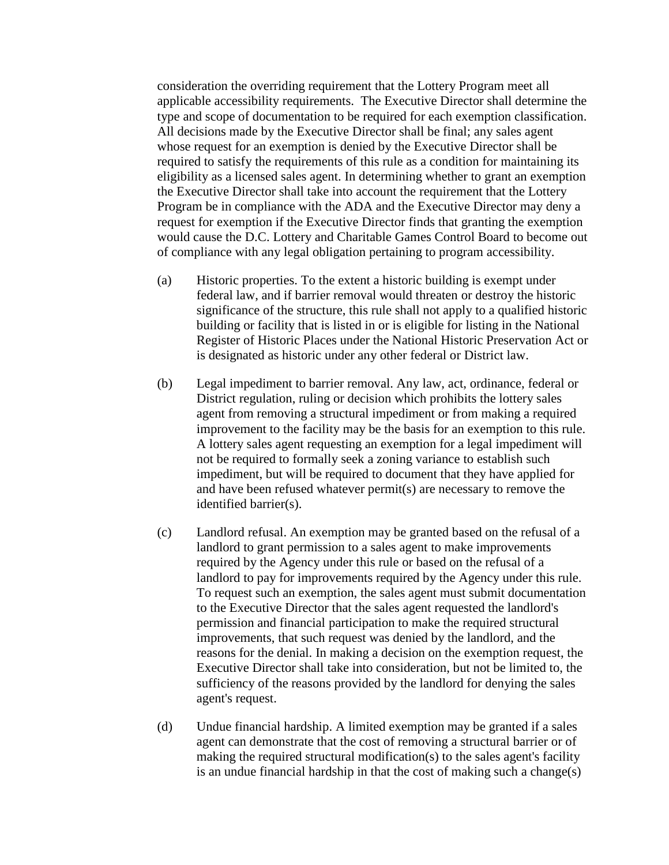consideration the overriding requirement that the Lottery Program meet all applicable accessibility requirements. The Executive Director shall determine the type and scope of documentation to be required for each exemption classification. All decisions made by the Executive Director shall be final; any sales agent whose request for an exemption is denied by the Executive Director shall be required to satisfy the requirements of this rule as a condition for maintaining its eligibility as a licensed sales agent. In determining whether to grant an exemption the Executive Director shall take into account the requirement that the Lottery Program be in compliance with the ADA and the Executive Director may deny a request for exemption if the Executive Director finds that granting the exemption would cause the D.C. Lottery and Charitable Games Control Board to become out of compliance with any legal obligation pertaining to program accessibility.

- (a) Historic properties. To the extent a historic building is exempt under federal law, and if barrier removal would threaten or destroy the historic significance of the structure, this rule shall not apply to a qualified historic building or facility that is listed in or is eligible for listing in the National Register of Historic Places under the National Historic Preservation Act or is designated as historic under any other federal or District law.
- (b) Legal impediment to barrier removal. Any law, act, ordinance, federal or District regulation, ruling or decision which prohibits the lottery sales agent from removing a structural impediment or from making a required improvement to the facility may be the basis for an exemption to this rule. A lottery sales agent requesting an exemption for a legal impediment will not be required to formally seek a zoning variance to establish such impediment, but will be required to document that they have applied for and have been refused whatever permit(s) are necessary to remove the identified barrier(s).
- (c) Landlord refusal. An exemption may be granted based on the refusal of a landlord to grant permission to a sales agent to make improvements required by the Agency under this rule or based on the refusal of a landlord to pay for improvements required by the Agency under this rule. To request such an exemption, the sales agent must submit documentation to the Executive Director that the sales agent requested the landlord's permission and financial participation to make the required structural improvements, that such request was denied by the landlord, and the reasons for the denial. In making a decision on the exemption request, the Executive Director shall take into consideration, but not be limited to, the sufficiency of the reasons provided by the landlord for denying the sales agent's request.
- (d) Undue financial hardship. A limited exemption may be granted if a sales agent can demonstrate that the cost of removing a structural barrier or of making the required structural modification(s) to the sales agent's facility is an undue financial hardship in that the cost of making such a change(s)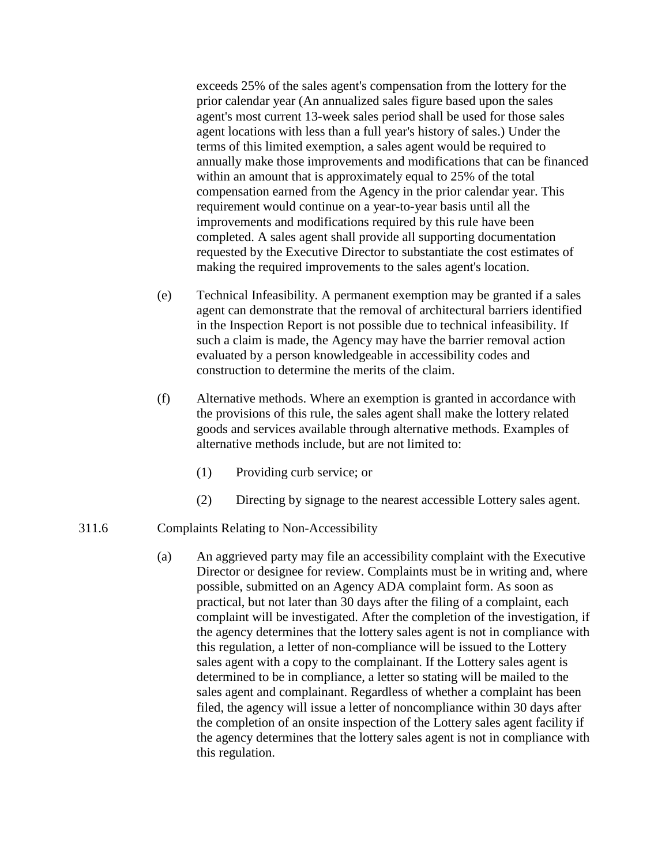exceeds 25% of the sales agent's compensation from the lottery for the prior calendar year (An annualized sales figure based upon the sales agent's most current 13-week sales period shall be used for those sales agent locations with less than a full year's history of sales.) Under the terms of this limited exemption, a sales agent would be required to annually make those improvements and modifications that can be financed within an amount that is approximately equal to 25% of the total compensation earned from the Agency in the prior calendar year. This requirement would continue on a year-to-year basis until all the improvements and modifications required by this rule have been completed. A sales agent shall provide all supporting documentation requested by the Executive Director to substantiate the cost estimates of making the required improvements to the sales agent's location.

- (e) Technical Infeasibility. A permanent exemption may be granted if a sales agent can demonstrate that the removal of architectural barriers identified in the Inspection Report is not possible due to technical infeasibility. If such a claim is made, the Agency may have the barrier removal action evaluated by a person knowledgeable in accessibility codes and construction to determine the merits of the claim.
- (f) Alternative methods. Where an exemption is granted in accordance with the provisions of this rule, the sales agent shall make the lottery related goods and services available through alternative methods. Examples of alternative methods include, but are not limited to:
	- (1) Providing curb service; or
	- (2) Directing by signage to the nearest accessible Lottery sales agent.

#### 311.6 Complaints Relating to Non-Accessibility

(a) An aggrieved party may file an accessibility complaint with the Executive Director or designee for review. Complaints must be in writing and, where possible, submitted on an Agency ADA complaint form. As soon as practical, but not later than 30 days after the filing of a complaint, each complaint will be investigated. After the completion of the investigation, if the agency determines that the lottery sales agent is not in compliance with this regulation, a letter of non-compliance will be issued to the Lottery sales agent with a copy to the complainant. If the Lottery sales agent is determined to be in compliance, a letter so stating will be mailed to the sales agent and complainant. Regardless of whether a complaint has been filed, the agency will issue a letter of noncompliance within 30 days after the completion of an onsite inspection of the Lottery sales agent facility if the agency determines that the lottery sales agent is not in compliance with this regulation.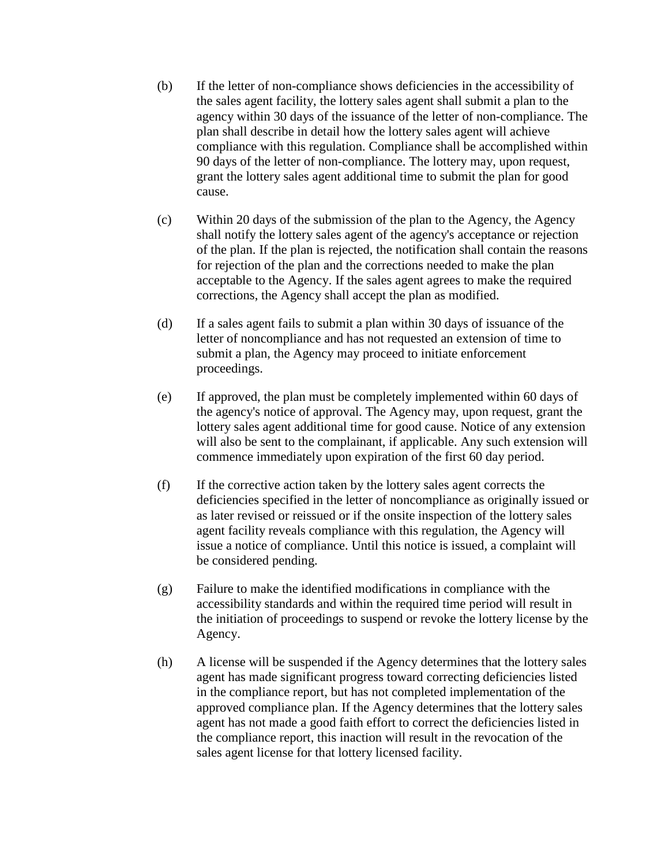- (b) If the letter of non-compliance shows deficiencies in the accessibility of the sales agent facility, the lottery sales agent shall submit a plan to the agency within 30 days of the issuance of the letter of non-compliance. The plan shall describe in detail how the lottery sales agent will achieve compliance with this regulation. Compliance shall be accomplished within 90 days of the letter of non-compliance. The lottery may, upon request, grant the lottery sales agent additional time to submit the plan for good cause.
- (c) Within 20 days of the submission of the plan to the Agency, the Agency shall notify the lottery sales agent of the agency's acceptance or rejection of the plan. If the plan is rejected, the notification shall contain the reasons for rejection of the plan and the corrections needed to make the plan acceptable to the Agency. If the sales agent agrees to make the required corrections, the Agency shall accept the plan as modified.
- (d) If a sales agent fails to submit a plan within 30 days of issuance of the letter of noncompliance and has not requested an extension of time to submit a plan, the Agency may proceed to initiate enforcement proceedings.
- (e) If approved, the plan must be completely implemented within 60 days of the agency's notice of approval. The Agency may, upon request, grant the lottery sales agent additional time for good cause. Notice of any extension will also be sent to the complainant, if applicable. Any such extension will commence immediately upon expiration of the first 60 day period.
- (f) If the corrective action taken by the lottery sales agent corrects the deficiencies specified in the letter of noncompliance as originally issued or as later revised or reissued or if the onsite inspection of the lottery sales agent facility reveals compliance with this regulation, the Agency will issue a notice of compliance. Until this notice is issued, a complaint will be considered pending.
- (g) Failure to make the identified modifications in compliance with the accessibility standards and within the required time period will result in the initiation of proceedings to suspend or revoke the lottery license by the Agency.
- (h) A license will be suspended if the Agency determines that the lottery sales agent has made significant progress toward correcting deficiencies listed in the compliance report, but has not completed implementation of the approved compliance plan. If the Agency determines that the lottery sales agent has not made a good faith effort to correct the deficiencies listed in the compliance report, this inaction will result in the revocation of the sales agent license for that lottery licensed facility.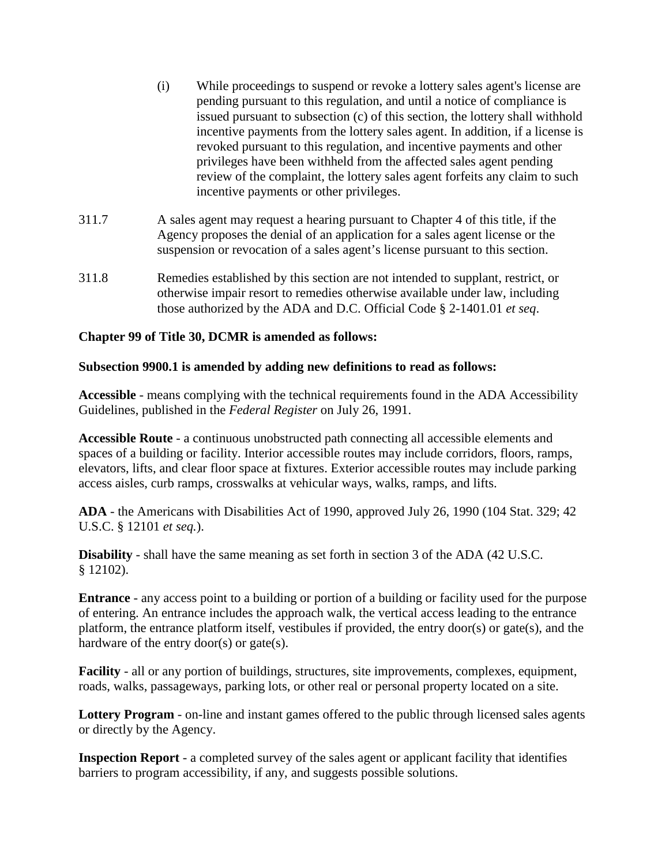- (i) While proceedings to suspend or revoke a lottery sales agent's license are pending pursuant to this regulation, and until a notice of compliance is issued pursuant to subsection (c) of this section, the lottery shall withhold incentive payments from the lottery sales agent. In addition, if a license is revoked pursuant to this regulation, and incentive payments and other privileges have been withheld from the affected sales agent pending review of the complaint, the lottery sales agent forfeits any claim to such incentive payments or other privileges.
- 311.7 A sales agent may request a hearing pursuant to Chapter 4 of this title, if the Agency proposes the denial of an application for a sales agent license or the suspension or revocation of a sales agent's license pursuant to this section.
- 311.8 Remedies established by this section are not intended to supplant, restrict, or otherwise impair resort to remedies otherwise available under law, including those authorized by the ADA and D.C. Official Code § 2-1401.01 *et seq*.

# **Chapter 99 of Title 30, DCMR is amended as follows:**

#### **Subsection 9900.1 is amended by adding new definitions to read as follows:**

**Accessible** - means complying with the technical requirements found in the ADA Accessibility Guidelines, published in the *Federal Register* on July 26, 1991.

**Accessible Route** - a continuous unobstructed path connecting all accessible elements and spaces of a building or facility. Interior accessible routes may include corridors, floors, ramps, elevators, lifts, and clear floor space at fixtures. Exterior accessible routes may include parking access aisles, curb ramps, crosswalks at vehicular ways, walks, ramps, and lifts.

**ADA** - the Americans with Disabilities Act of 1990, approved July 26, 1990 (104 Stat. 329; 42 U.S.C. § 12101 *et seq.*).

**Disability** - shall have the same meaning as set forth in section 3 of the ADA (42 U.S.C. § 12102).

**Entrance** - any access point to a building or portion of a building or facility used for the purpose of entering. An entrance includes the approach walk, the vertical access leading to the entrance platform, the entrance platform itself, vestibules if provided, the entry door(s) or gate(s), and the hardware of the entry door(s) or gate(s).

**Facility** - all or any portion of buildings, structures, site improvements, complexes, equipment, roads, walks, passageways, parking lots, or other real or personal property located on a site.

**Lottery Program** - on-line and instant games offered to the public through licensed sales agents or directly by the Agency.

**Inspection Report** - a completed survey of the sales agent or applicant facility that identifies barriers to program accessibility, if any, and suggests possible solutions.